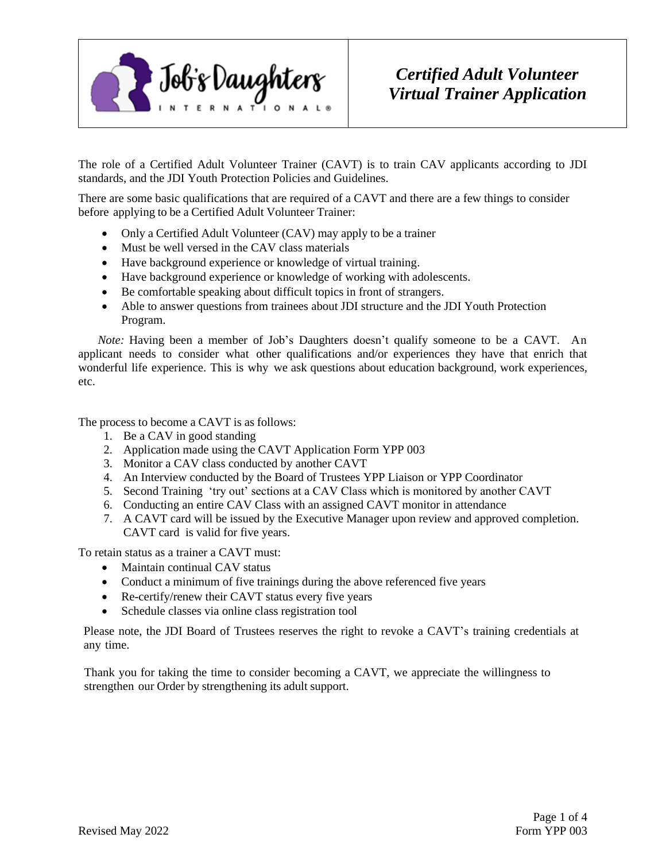

# *Certified Adult Volunteer Virtual Trainer Application*

The role of a Certified Adult Volunteer Trainer (CAVT) is to train CAV applicants according to JDI standards, and the JDI Youth Protection Policies and Guidelines.

There are some basic qualifications that are required of a CAVT and there are a few things to consider before applying to be a Certified Adult Volunteer Trainer:

- Only a Certified Adult Volunteer (CAV) may apply to be a trainer
- Must be well versed in the CAV class materials
- Have background experience or knowledge of virtual training.
- Have background experience or knowledge of working with adolescents.
- Be comfortable speaking about difficult topics in front of strangers.
- Able to answer questions from trainees about JDI structure and the JDI Youth Protection Program.

*Note:* Having been a member of Job's Daughters doesn't qualify someone to be a CAVT. An applicant needs to consider what other qualifications and/or experiences they have that enrich that wonderful life experience. This is why we ask questions about education background, work experiences, etc.

The process to become a CAVT is as follows:

- 1. Be a CAV in good standing
- 2. Application made using the CAVT Application Form YPP 003
- 3. Monitor a CAV class conducted by another CAVT
- 4. An Interview conducted by the Board of Trustees YPP Liaison or YPP Coordinator
- 5. Second Training 'try out' sections at a CAV Class which is monitored by another CAVT
- 6. Conducting an entire CAV Class with an assigned CAVT monitor in attendance
- 7. A CAVT card will be issued by the Executive Manager upon review and approved completion. CAVT card is valid for five years.

To retain status as a trainer a CAVT must:

- Maintain continual CAV status
- Conduct a minimum of five trainings during the above referenced five years
- Re-certify/renew their CAVT status every five years
- Schedule classes via online class registration tool

Please note, the JDI Board of Trustees reserves the right to revoke a CAVT's training credentials at any time.

Thank you for taking the time to consider becoming a CAVT, we appreciate the willingness to strengthen our Order by strengthening its adult support.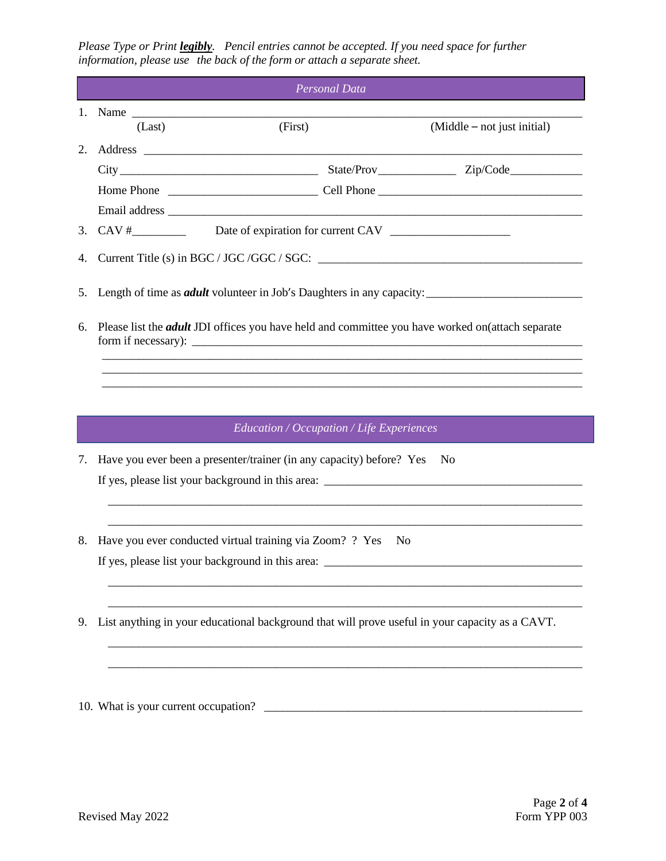*Please Type or Print legibly. Pencil entries cannot be accepted. If you need space for further information, please use the back of the form or attach a separate sheet.*

|    |                                                                              | <b>Personal Data</b>                                                                                    |                             |  |  |
|----|------------------------------------------------------------------------------|---------------------------------------------------------------------------------------------------------|-----------------------------|--|--|
|    | (Last)                                                                       | (First)                                                                                                 | (Middle - not just initial) |  |  |
| 2. |                                                                              |                                                                                                         |                             |  |  |
|    |                                                                              |                                                                                                         |                             |  |  |
|    |                                                                              |                                                                                                         |                             |  |  |
|    |                                                                              |                                                                                                         |                             |  |  |
|    |                                                                              |                                                                                                         |                             |  |  |
| 4. |                                                                              |                                                                                                         |                             |  |  |
| 5. | Length of time as <i>adult</i> volunteer in Job's Daughters in any capacity: |                                                                                                         |                             |  |  |
| 6. |                                                                              | Please list the <i>adult</i> JDI offices you have held and committee you have worked on(attach separate |                             |  |  |
|    |                                                                              | Education / Occupation / Life Experiences                                                               |                             |  |  |
| 7. |                                                                              | Have you ever been a presenter/trainer (in any capacity) before? Yes                                    | N <sub>0</sub>              |  |  |
|    |                                                                              |                                                                                                         |                             |  |  |
|    |                                                                              |                                                                                                         |                             |  |  |
| 8. | Have you ever conducted virtual training via Zoom? ? Yes<br>N <sub>0</sub>   |                                                                                                         |                             |  |  |
|    |                                                                              |                                                                                                         |                             |  |  |
|    |                                                                              |                                                                                                         |                             |  |  |
|    |                                                                              |                                                                                                         |                             |  |  |

9. List anything in your educational background that will prove useful in your capacity as a CAVT.

\_\_\_\_\_\_\_\_\_\_\_\_\_\_\_\_\_\_\_\_\_\_\_\_\_\_\_\_\_\_\_\_\_\_\_\_\_\_\_\_\_\_\_\_\_\_\_\_\_\_\_\_\_\_\_\_\_\_\_\_\_\_\_\_\_\_\_\_\_\_\_\_\_\_\_\_\_\_\_

\_\_\_\_\_\_\_\_\_\_\_\_\_\_\_\_\_\_\_\_\_\_\_\_\_\_\_\_\_\_\_\_\_\_\_\_\_\_\_\_\_\_\_\_\_\_\_\_\_\_\_\_\_\_\_\_\_\_\_\_\_\_\_\_\_\_\_\_\_\_\_\_\_\_\_\_\_\_\_

10. What is your current occupation? \_\_\_\_\_\_\_\_\_\_\_\_\_\_\_\_\_\_\_\_\_\_\_\_\_\_\_\_\_\_\_\_\_\_\_\_\_\_\_\_\_\_\_\_\_\_\_\_\_\_\_\_\_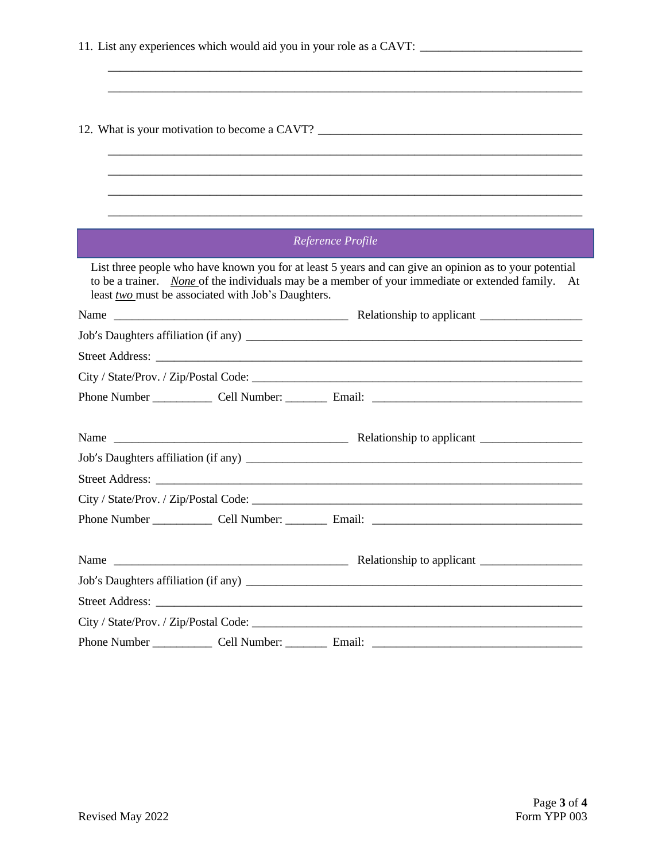|                                                    | 12. What is your motivation to become a CAVT?                                                                                                                                                               |
|----------------------------------------------------|-------------------------------------------------------------------------------------------------------------------------------------------------------------------------------------------------------------|
|                                                    |                                                                                                                                                                                                             |
|                                                    |                                                                                                                                                                                                             |
|                                                    |                                                                                                                                                                                                             |
|                                                    |                                                                                                                                                                                                             |
|                                                    | Reference Profile                                                                                                                                                                                           |
| least two must be associated with Job's Daughters. | List three people who have known you for at least 5 years and can give an opinion as to your potential<br>to be a trainer. None of the individuals may be a member of your immediate or extended family. At |
|                                                    |                                                                                                                                                                                                             |
|                                                    |                                                                                                                                                                                                             |
|                                                    |                                                                                                                                                                                                             |
|                                                    |                                                                                                                                                                                                             |
|                                                    |                                                                                                                                                                                                             |
|                                                    |                                                                                                                                                                                                             |
|                                                    |                                                                                                                                                                                                             |
|                                                    |                                                                                                                                                                                                             |
|                                                    |                                                                                                                                                                                                             |
|                                                    | City / State/Prov. / Zip/Postal Code:                                                                                                                                                                       |
|                                                    |                                                                                                                                                                                                             |
|                                                    |                                                                                                                                                                                                             |
|                                                    |                                                                                                                                                                                                             |
|                                                    |                                                                                                                                                                                                             |
|                                                    |                                                                                                                                                                                                             |
|                                                    |                                                                                                                                                                                                             |
|                                                    |                                                                                                                                                                                                             |

\_\_\_\_\_\_\_\_\_\_\_\_\_\_\_\_\_\_\_\_\_\_\_\_\_\_\_\_\_\_\_\_\_\_\_\_\_\_\_\_\_\_\_\_\_\_\_\_\_\_\_\_\_\_\_\_\_\_\_\_\_\_\_\_\_\_\_\_\_\_\_\_\_\_\_\_\_\_\_

\_\_\_\_\_\_\_\_\_\_\_\_\_\_\_\_\_\_\_\_\_\_\_\_\_\_\_\_\_\_\_\_\_\_\_\_\_\_\_\_\_\_\_\_\_\_\_\_\_\_\_\_\_\_\_\_\_\_\_\_\_\_\_\_\_\_\_\_\_\_\_\_\_\_\_\_\_\_\_